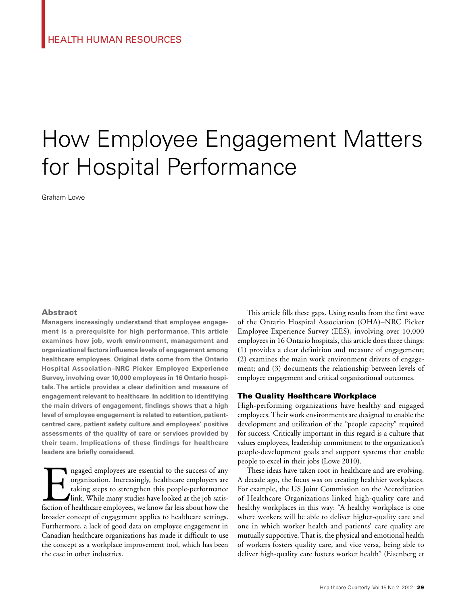# How Employee Engagement Matters for Hospital Performance

Graham Lowe

### **Abstract**

**Managers increasingly understand that employee engagement is a prerequisite for high performance. This article examines how job, work environment, management and organizational factors influence levels of engagement among healthcare employees. Original data come from the Ontario Hospital Association–NRC Picker Employee Experience Survey, involving over 10,000 employees in 16 Ontario hospitals. The article provides a clear definition and measure of engagement relevant to healthcare. In addition to identifying the main drivers of engagement, findings shows that a high level of employee engagement is related to retention, patientcentred care, patient safety culture and employees' positive assessments of the quality of care or services provided by their team. Implications of these findings for healthcare leaders are briefly considered.**

In any organization. Increasingly, healthcare employers are taking steps to strengthen this people-performance link. While many studies have looked at the job satisfaction of healthcare employees, we know far less about ho organization. Increasingly, healthcare employers are taking steps to strengthen this people-performance link. While many studies have looked at the job satisbroader concept of engagement applies to healthcare settings. Furthermore, a lack of good data on employee engagement in Canadian healthcare organizations has made it difficult to use the concept as a workplace improvement tool, which has been the case in other industries.

This article fills these gaps. Using results from the first wave of the Ontario Hospital Association (OHA)–NRC Picker Employee Experience Survey (EES), involving over 10,000 employees in 16 Ontario hospitals, this article does three things: (1) provides a clear definition and measure of engagement; (2) examines the main work environment drivers of engagement; and (3) documents the relationship between levels of employee engagement and critical organizational outcomes.

### The Quality Healthcare Workplace

High-performing organizations have healthy and engaged employees. Their work environments are designed to enable the development and utilization of the "people capacity" required for success. Critically important in this regard is a culture that values employees, leadership commitment to the organization's people-development goals and support systems that enable people to excel in their jobs (Lowe 2010).

These ideas have taken root in healthcare and are evolving. A decade ago, the focus was on creating healthier workplaces. For example, the US Joint Commission on the Accreditation of Healthcare Organizations linked high-quality care and healthy workplaces in this way: "A healthy workplace is one where workers will be able to deliver higher-quality care and one in which worker health and patients' care quality are mutually supportive. That is, the physical and emotional health of workers fosters quality care, and vice versa, being able to deliver high-quality care fosters worker health" (Eisenberg et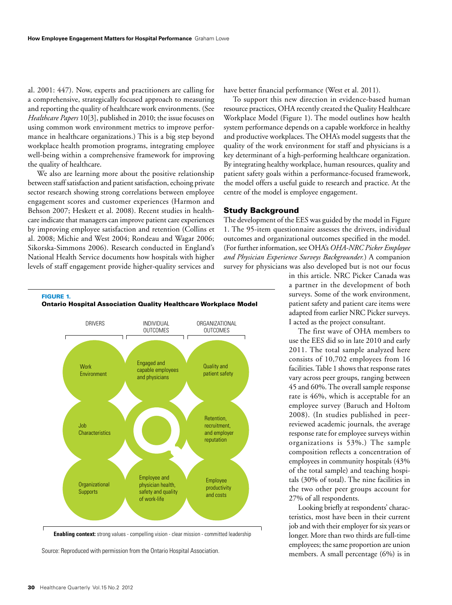al. 2001: 447). Now, experts and practitioners are calling for a comprehensive, strategically focused approach to measuring and reporting the quality of healthcare work environments. (See *Healthcare Papers* 10[3], published in 2010; the issue focuses on using common work environment metrics to improve performance in healthcare organizations.) This is a big step beyond workplace health promotion programs, integrating employee well-being within a comprehensive framework for improving the quality of healthcare.

We also are learning more about the positive relationship between staff satisfaction and patient satisfaction, echoing private sector research showing strong correlations between employee engagement scores and customer experiences (Harmon and Behson 2007; Heskett et al. 2008). Recent studies in healthcare indicate that managers can improve patient care experiences by improving employee satisfaction and retention (Collins et al. 2008; Michie and West 2004; Rondeau and Wagar 2006; Sikorska-Simmons 2006). Research conducted in England's National Health Service documents how hospitals with higher levels of staff engagement provide higher-quality services and

FIGURE 1.

have better financial performance (West et al. 2011).

To support this new direction in evidence-based human resource practices, OHA recently created the Quality Healthcare Workplace Model (Figure 1). The model outlines how health system performance depends on a capable workforce in healthy and productive workplaces. The OHA's model suggests that the quality of the work environment for staff and physicians is a key determinant of a high-performing healthcare organization. By integrating healthy workplace, human resources, quality and patient safety goals within a performance-focused framework, the model offers a useful guide to research and practice. At the centre of the model is employee engagement.

### Study Background

The development of the EES was guided by the model in Figure 1. The 95-item questionnaire assesses the drivers, individual outcomes and organizational outcomes specified in the model. (For further information, see OHA's *OHA-NRC Picker Employee and Physician Experience Surveys Backgrounder.*) A companion survey for physicians was also developed but is not our focus

> in this article. NRC Picker Canada was a partner in the development of both surveys. Some of the work environment, patient safety and patient care items were adapted from earlier NRC Picker surveys. I acted as the project consultant.

> The first wave of OHA members to use the EES did so in late 2010 and early 2011. The total sample analyzed here consists of 10,702 employees from 16 facilities. Table 1 shows that response rates vary across peer groups, ranging between 45 and 60%. The overall sample response rate is 46%, which is acceptable for an employee survey (Baruch and Holtom 2008). (In studies published in peerreviewed academic journals, the average response rate for employee surveys within organizations is 53%.) The sample composition reflects a concentration of employees in community hospitals (43% of the total sample) and teaching hospitals (30% of total). The nine facilities in the two other peer groups account for 27% of all respondents.

> Looking briefly at respondents' characteristics, most have been in their current job and with their employer for six years or longer. More than two thirds are full-time employees; the same proportion are union members. A small percentage (6%) is in





Source: Reproduced with permission from the Ontario Hospital Association.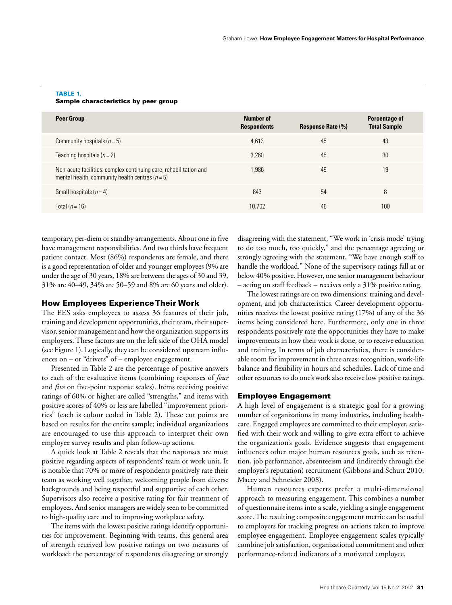| <b>Peer Group</b>                                                                                                        | Number of<br><b>Respondents</b> | <b>Response Rate (%)</b> | Percentage of<br><b>Total Sample</b> |
|--------------------------------------------------------------------------------------------------------------------------|---------------------------------|--------------------------|--------------------------------------|
| Community hospitals $(n=5)$                                                                                              | 4,613                           | 45                       | 43                                   |
| Teaching hospitals $(n = 2)$                                                                                             | 3.260                           | 45                       | 30                                   |
| Non-acute facilities: complex continuing care, rehabilitation and<br>mental health, community health centres ( $n = 5$ ) | 1.986                           | 49                       | 19                                   |
| Small hospitals $(n=4)$                                                                                                  | 843                             | 54                       | 8                                    |
| Total $(n = 16)$                                                                                                         | 10.702                          | 46                       | 100                                  |

### TABLE 1. Sample characteristics by peer group

temporary, per-diem or standby arrangements. About one in five have management responsibilities. And two thirds have frequent patient contact. Most (86%) respondents are female, and there is a good representation of older and younger employees (9% are under the age of 30 years, 18% are between the ages of 30 and 39, 31% are 40–49, 34% are 50–59 and 8% are 60 years and older).

### How Employees Experience Their Work

The EES asks employees to assess 36 features of their job, training and development opportunities, their team, their supervisor, senior management and how the organization supports its employees. These factors are on the left side of the OHA model (see Figure 1). Logically, they can be considered upstream influences on – or "drivers" of – employee engagement.

Presented in Table 2 are the percentage of positive answers to each of the evaluative items (combining responses of *four* and *five* on five-point response scales). Items receiving positive ratings of 60% or higher are called "strengths," and items with positive scores of 40% or less are labelled "improvement priorities" (each is colour coded in Table 2). These cut points are based on results for the entire sample; individual organizations are encouraged to use this approach to interpret their own employee survey results and plan follow-up actions.

A quick look at Table 2 reveals that the responses are most positive regarding aspects of respondents' team or work unit. It is notable that 70% or more of respondents positively rate their team as working well together, welcoming people from diverse backgrounds and being respectful and supportive of each other. Supervisors also receive a positive rating for fair treatment of employees. And senior managers are widely seen to be committed to high-quality care and to improving workplace safety.

The items with the lowest positive ratings identify opportunities for improvement. Beginning with teams, this general area of strength received low positive ratings on two measures of workload: the percentage of respondents disagreeing or strongly

disagreeing with the statement, "We work in 'crisis mode' trying to do too much, too quickly," and the percentage agreeing or strongly agreeing with the statement, "We have enough staff to handle the workload." None of the supervisory ratings fall at or below 40% positive. However, one senior management behaviour – acting on staff feedback – receives only a 31% positive rating.

The lowest ratings are on two dimensions: training and development, and job characteristics. Career development opportunities receives the lowest positive rating (17%) of any of the 36 items being considered here. Furthermore, only one in three respondents positively rate the opportunities they have to make improvements in how their work is done, or to receive education and training. In terms of job characteristics, there is considerable room for improvement in three areas: recognition, work-life balance and flexibility in hours and schedules. Lack of time and other resources to do one's work also receive low positive ratings.

# Employee Engagement

A high level of engagement is a strategic goal for a growing number of organizations in many industries, including healthcare. Engaged employees are committed to their employer, satisfied with their work and willing to give extra effort to achieve the organization's goals. Evidence suggests that engagement influences other major human resources goals, such as retention, job performance, absenteeism and (indirectly through the employer's reputation) recruitment (Gibbons and Schutt 2010; Macey and Schneider 2008).

Human resources experts prefer a multi-dimensional approach to measuring engagement. This combines a number of questionnaire items into a scale, yielding a single engagement score. The resulting composite engagement metric can be useful to employers for tracking progress on actions taken to improve employee engagement. Employee engagement scales typically combine job satisfaction, organizational commitment and other performance-related indicators of a motivated employee.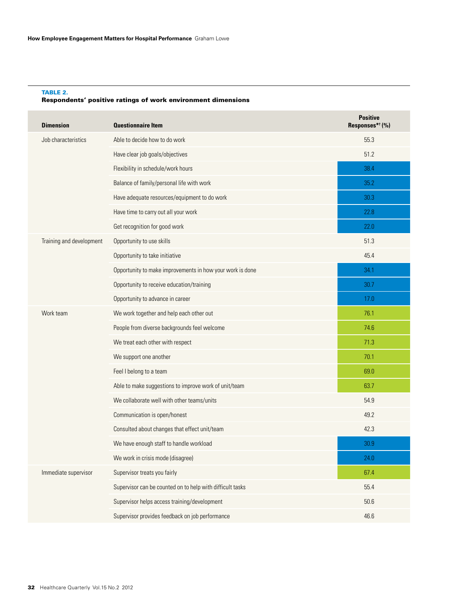### TABLE 2. Respondents' positive ratings of work environment dimensions

| <b>Dimension</b>         | <b>Questionnaire Item</b>                                 | <b>Positive</b><br>Responses* <sup>†</sup> (%) |
|--------------------------|-----------------------------------------------------------|------------------------------------------------|
| Job characteristics      | Able to decide how to do work                             | 55.3                                           |
|                          | Have clear job goals/objectives                           | 51.2                                           |
|                          | Flexibility in schedule/work hours                        | 38.4                                           |
|                          | Balance of family/personal life with work                 | 35.2                                           |
|                          | Have adequate resources/equipment to do work              | 30.3                                           |
|                          | Have time to carry out all your work                      | 22.8                                           |
|                          | Get recognition for good work                             | 22.0                                           |
| Training and development | Opportunity to use skills                                 | 51.3                                           |
|                          | Opportunity to take initiative                            | 45.4                                           |
|                          | Opportunity to make improvements in how your work is done | 34.1                                           |
|                          | Opportunity to receive education/training                 | 30.7                                           |
|                          | Opportunity to advance in career                          | 17.0                                           |
| Work team                | We work together and help each other out                  | 76.1                                           |
|                          | People from diverse backgrounds feel welcome              | 74.6                                           |
|                          | We treat each other with respect                          | 71.3                                           |
|                          | We support one another                                    | 70.1                                           |
|                          | Feel I belong to a team                                   | 69.0                                           |
|                          | Able to make suggestions to improve work of unit/team     | 63.7                                           |
|                          | We collaborate well with other teams/units                | 54.9                                           |
|                          | Communication is open/honest                              | 49.2                                           |
|                          | Consulted about changes that effect unit/team             | 42.3                                           |
|                          | We have enough staff to handle workload                   | 30.9                                           |
|                          | We work in crisis mode (disagree)                         | 24.0                                           |
| Immediate supervisor     | Supervisor treats you fairly                              | 67.4                                           |
|                          | Supervisor can be counted on to help with difficult tasks | 55.4                                           |
|                          | Supervisor helps access training/development              | 50.6                                           |
|                          | Supervisor provides feedback on job performance           | 46.6                                           |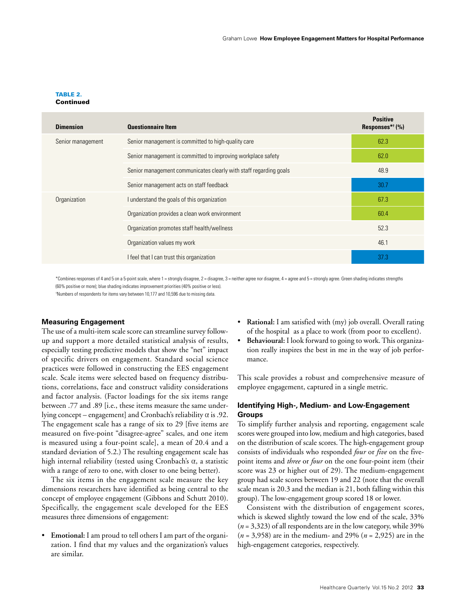### TABLE 2. **Continued**

| <b>Dimension</b>  | <b>Questionnaire Item</b>                                         | <b>Positive</b><br>Responses $*$ <sup>†</sup> (%) |
|-------------------|-------------------------------------------------------------------|---------------------------------------------------|
| Senior management | Senior management is committed to high-quality care               | 62.3                                              |
|                   | Senior management is committed to improving workplace safety      | 62.0                                              |
|                   | Senior management communicates clearly with staff regarding goals | 48.9                                              |
|                   | Senior management acts on staff feedback                          | 30.7                                              |
| Organization      | I understand the goals of this organization                       | 67.3                                              |
|                   | Organization provides a clean work environment                    | 60.4                                              |
|                   | Organization promotes staff health/wellness                       | 52.3                                              |
|                   | Organization values my work                                       | 46.1                                              |
|                   | I feel that I can trust this organization                         | 37.3                                              |

\*Combines responses of 4 and 5 on a 5-point scale, where 1 = strongly disagree, 2 = disagree, 3 = neither agree nor disagree, 4 = agree and 5 = strongly agree. Green shading indicates strengths (60% positive or more); blue shading indicates improvement priorities (40% positive or less).

† Numbers of respondents for items vary between 10,177 and 10,596 due to missing data.

### **Measuring Engagement**

The use of a multi-item scale score can streamline survey followup and support a more detailed statistical analysis of results, especially testing predictive models that show the "net" impact of specific drivers on engagement. Standard social science practices were followed in constructing the EES engagement scale. Scale items were selected based on frequency distributions, correlations, face and construct validity considerations and factor analysis. (Factor loadings for the six items range between .77 and .89 [i.e., these items measure the same underlying concept – engagement] and Cronbach's reliability  $\alpha$  is .92. The engagement scale has a range of six to 29 [five items are measured on five-point "disagree-agree" scales, and one item is measured using a four-point scale], a mean of 20.4 and a standard deviation of 5.2.) The resulting engagement scale has high internal reliability (tested using Cronbach's  $\alpha$ , a statistic with a range of zero to one, with closer to one being better).

The six items in the engagement scale measure the key dimensions researchers have identified as being central to the concept of employee engagement (Gibbons and Schutt 2010). Specifically, the engagement scale developed for the EES measures three dimensions of engagement:

• **Emotional:** I am proud to tell others I am part of the organization. I find that my values and the organization's values are similar.

- **Rational:** I am satisfied with (my) job overall. Overall rating of the hospital as a place to work (from poor to excellent).
- Behavioural: I look forward to going to work. This organization really inspires the best in me in the way of job performance.

This scale provides a robust and comprehensive measure of employee engagement, captured in a single metric.

### **Identifying High-, Medium- and Low-Engagement Groups**

To simplify further analysis and reporting, engagement scale scores were grouped into low, medium and high categories, based on the distribution of scale scores. The high-engagement group consists of individuals who responded *four* or *five* on the fivepoint items and *three* or *four* on the one four-point item (their score was 23 or higher out of 29). The medium-engagement group had scale scores between 19 and 22 (note that the overall scale mean is 20.3 and the median is 21, both falling within this group). The low-engagement group scored 18 or lower.

Consistent with the distribution of engagement scores, which is skewed slightly toward the low end of the scale, 33% (*n* = 3,323) of all respondents are in the low category, while 39% (*n* = 3,958) are in the medium- and 29% (*n* = 2,925) are in the high-engagement categories, respectively.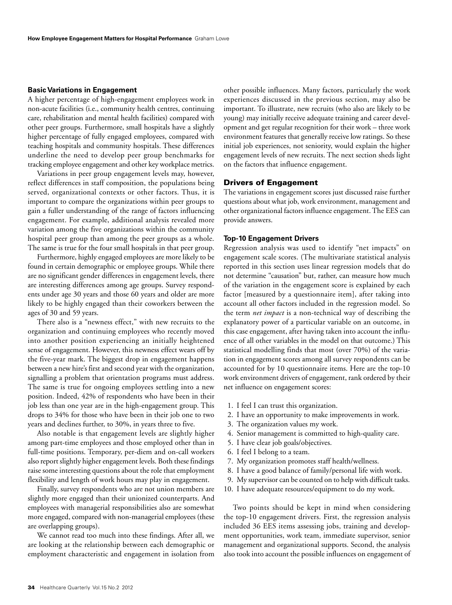### **Basic Variations in Engagement**

A higher percentage of high-engagement employees work in non-acute facilities (i.e., community health centres, continuing care, rehabilitation and mental health facilities) compared with other peer groups. Furthermore, small hospitals have a slightly higher percentage of fully engaged employees, compared with teaching hospitals and community hospitals. These differences underline the need to develop peer group benchmarks for tracking employee engagement and other key workplace metrics.

Variations in peer group engagement levels may, however, reflect differences in staff composition, the populations being served, organizational contexts or other factors. Thus, it is important to compare the organizations within peer groups to gain a fuller understanding of the range of factors influencing engagement. For example, additional analysis revealed more variation among the five organizations within the community hospital peer group than among the peer groups as a whole. The same is true for the four small hospitals in that peer group.

Furthermore, highly engaged employees are more likely to be found in certain demographic or employee groups. While there are no significant gender differences in engagement levels, there are interesting differences among age groups. Survey respondents under age 30 years and those 60 years and older are more likely to be highly engaged than their coworkers between the ages of 30 and 59 years.

There also is a "newness effect," with new recruits to the organization and continuing employees who recently moved into another position experiencing an initially heightened sense of engagement. However, this newness effect wears off by the five-year mark. The biggest drop in engagement happens between a new hire's first and second year with the organization, signalling a problem that orientation programs must address. The same is true for ongoing employees settling into a new position. Indeed, 42% of respondents who have been in their job less than one year are in the high-engagement group. This drops to 34% for those who have been in their job one to two years and declines further, to 30%, in years three to five.

Also notable is that engagement levels are slightly higher among part-time employees and those employed other than in full-time positions. Temporary, per-diem and on-call workers also report slightly higher engagement levels. Both these findings raise some interesting questions about the role that employment flexibility and length of work hours may play in engagement.

Finally, survey respondents who are not union members are slightly more engaged than their unionized counterparts. And employees with managerial responsibilities also are somewhat more engaged, compared with non-managerial employees (these are overlapping groups).

We cannot read too much into these findings. After all, we are looking at the relationship between each demographic or employment characteristic and engagement in isolation from

other possible influences. Many factors, particularly the work experiences discussed in the previous section, may also be important. To illustrate, new recruits (who also are likely to be young) may initially receive adequate training and career development and get regular recognition for their work – three work environment features that generally receive low ratings. So these initial job experiences, not seniority, would explain the higher engagement levels of new recruits. The next section sheds light on the factors that influence engagement.

### Drivers of Engagement

The variations in engagement scores just discussed raise further questions about what job, work environment, management and other organizational factors influence engagement. The EES can provide answers.

### **Top-10 Engagement Drivers**

Regression analysis was used to identify "net impacts" on engagement scale scores. (The multivariate statistical analysis reported in this section uses linear regression models that do not determine "causation" but, rather, can measure how much of the variation in the engagement score is explained by each factor [measured by a questionnaire item], after taking into account all other factors included in the regression model. So the term *net impact* is a non-technical way of describing the explanatory power of a particular variable on an outcome, in this case engagement, after having taken into account the influence of all other variables in the model on that outcome.) This statistical modelling finds that most (over 70%) of the variation in engagement scores among all survey respondents can be accounted for by 10 questionnaire items. Here are the top-10 work environment drivers of engagement, rank ordered by their net influence on engagement scores:

- 1. I feel I can trust this organization.
- 2. I have an opportunity to make improvements in work.
- 3. The organization values my work.
- 4. Senior management is committed to high-quality care.
- 5. I have clear job goals/objectives.
- 6. I feel I belong to a team.
- 7. My organization promotes staff health/wellness.
- 8. I have a good balance of family/personal life with work.
- 9. My supervisor can be counted on to help with difficult tasks.
- 10. I have adequate resources/equipment to do my work.

Two points should be kept in mind when considering the top-10 engagement drivers. First, the regression analysis included 36 EES items assessing jobs, training and development opportunities, work team, immediate supervisor, senior management and organizational supports. Second, the analysis also took into account the possible influences on engagement of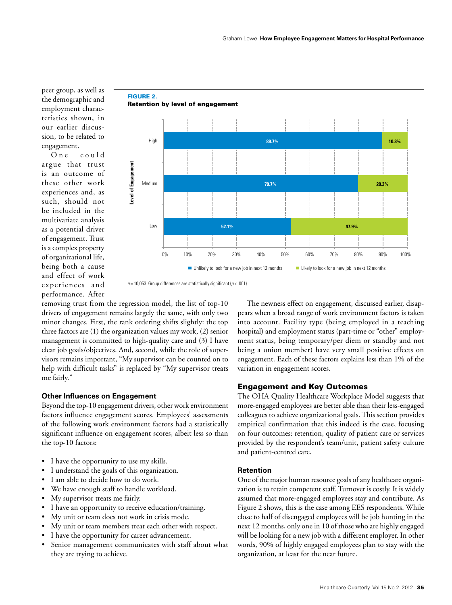peer group, as well as the demographic and employment characteristics shown, in our earlier discussion, to be related to engagement.

One could argue that trust is an outcome of these other work experiences and, as such, should not be included in the multivariate analysis as a potential driver of engagement. Trust is a complex property of organizational life, being both a cause and effect of work experiences and performance. After



# FIGURE 2.

 $n = 10,053$ . Group differences are statistically significant ( $p < .001$ ).

removing trust from the regression model, the list of top-10 drivers of engagement remains largely the same, with only two minor changes. First, the rank ordering shifts slightly: the top three factors are (1) the organization values my work, (2) senior management is committed to high-quality care and (3) I have clear job goals/objectives. And, second, while the role of supervisors remains important, "My supervisor can be counted on to help with difficult tasks" is replaced by "My supervisor treats me fairly."

### **Other Influences on Engagement**

Beyond the top-10 engagement drivers, other work environment factors influence engagement scores. Employees' assessments of the following work environment factors had a statistically significant influence on engagement scores, albeit less so than the top-10 factors:

- I have the opportunity to use my skills.
- I understand the goals of this organization.
- I am able to decide how to do work.
- We have enough staff to handle workload.
- My supervisor treats me fairly.
- I have an opportunity to receive education/training.
- My unit or team does not work in crisis mode.
- My unit or team members treat each other with respect.
- I have the opportunity for career advancement.
- Senior management communicates with staff about what they are trying to achieve.

The newness effect on engagement, discussed earlier, disappears when a broad range of work environment factors is taken into account. Facility type (being employed in a teaching hospital) and employment status (part-time or "other" employment status, being temporary/per diem or standby and not being a union member) have very small positive effects on engagement. Each of these factors explains less than 1% of the variation in engagement scores.

### Engagement and Key Outcomes

The OHA Quality Healthcare Workplace Model suggests that more-engaged employees are better able than their less-engaged colleagues to achieve organizational goals. This section provides empirical confirmation that this indeed is the case, focusing on four outcomes: retention, quality of patient care or services provided by the respondent's team/unit, patient safety culture and patient-centred care.

### **Retention**

One of the major human resource goals of any healthcare organization is to retain competent staff. Turnover is costly. It is widely assumed that more-engaged employees stay and contribute. As Figure 2 shows, this is the case among EES respondents. While close to half of disengaged employees will be job hunting in the next 12 months, only one in 10 of those who are highly engaged will be looking for a new job with a different employer. In other words, 90% of highly engaged employees plan to stay with the organization, at least for the near future.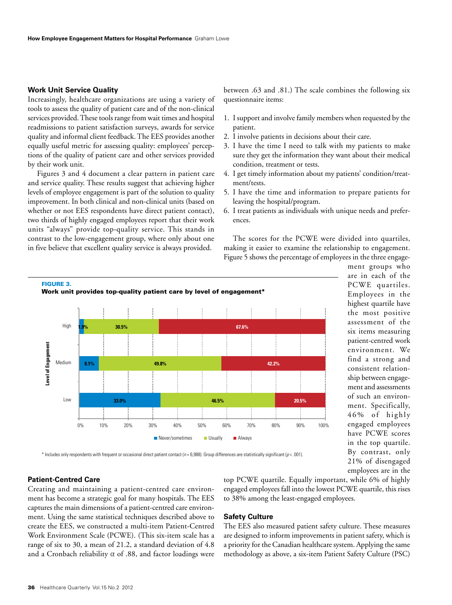# **Work Unit Service Quality**

Increasingly, healthcare organizations are using a variety of tools to assess the quality of patient care and of the non-clinical services provided. These tools range from wait times and hospital readmissions to patient satisfaction surveys, awards for service quality and informal client feedback. The EES provides another equally useful metric for assessing quality: employees' perceptions of the quality of patient care and other services provided by their work unit.

Figures 3 and 4 document a clear pattern in patient care and service quality. These results suggest that achieving higher levels of employee engagement is part of the solution to quality improvement. In both clinical and non-clinical units (based on whether or not EES respondents have direct patient contact), two thirds of highly engaged employees report that their work units "always" provide top-quality service. This stands in contrast to the low-engagement group, where only about one in five believe that excellent quality service is always provided.

between .63 and .81.) The scale combines the following six questionnaire items:

- 1. I support and involve family members when requested by the patient.
- 2. I involve patients in decisions about their care.
- 3. I have the time I need to talk with my patients to make sure they get the information they want about their medical condition, treatment or tests.
- 4. I get timely information about my patients' condition/treatment/tests.
- 5. I have the time and information to prepare patients for leaving the hospital/program.
- 6. I treat patients as individuals with unique needs and preferences.

The scores for the PCWE were divided into quartiles, making it easier to examine the relationship to engagement. Figure 5 shows the percentage of employees in the three engage-



are in each of the PCWE quartiles. Employees in the highest quartile have the most positive assessment of the six items measuring patient-centred work environment. We find a strong and consistent relationship between engagement and assessments of such an environment. Specifically, 46% of highly engaged employees have PCWE scores in the top quartile. By contrast, only 21% of disengaged employees are in the

ment groups who

#### \* Includes only respondents with frequent or occasional direct patient contact (*n* = 6,988). Group differences are statistically significant (*p* < .001).

# **Patient-Centred Care**

Creating and maintaining a patient-centred care environment has become a strategic goal for many hospitals. The EES captures the main dimensions of a patient-centred care environment. Using the same statistical techniques described above to create the EES, we constructed a multi-item Patient-Centred Work Environment Scale (PCWE). (This six-item scale has a range of six to 30, a mean of 21.2, a standard deviation of 4.8 and a Cronbach reliability  $\alpha$  of .88, and factor loadings were

top PCWE quartile. Equally important, while 6% of highly engaged employees fall into the lowest PCWE quartile, this rises to 38% among the least-engaged employees.

### **Safety Culture**

The EES also measured patient safety culture. These measures are designed to inform improvements in patient safety, which is a priority for the Canadian healthcare system. Applying the same methodology as above, a six-item Patient Safety Culture (PSC)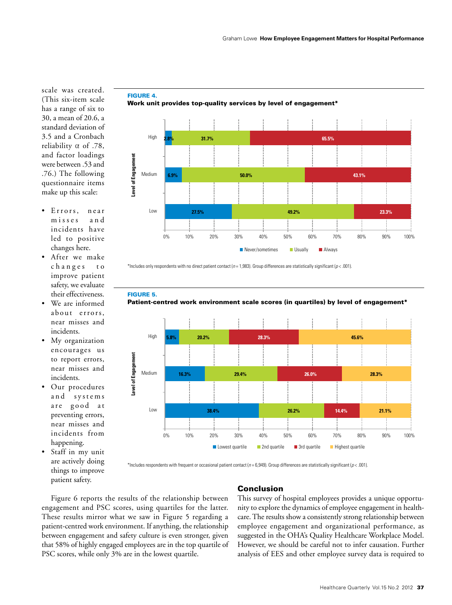scale was created. (This six-item scale has a range of six to 30, a mean of 20.6, a standard deviation of 3.5 and a Cronbach reliability  $\alpha$  of .78, and factor loadings were between .53 and .76.) The following questionnaire items make up this scale:

- Errors, near misses and incidents have led to positive changes here.
- • After we make changes to improve patient safety, we evaluate their effectiveness.
- • We are informed about errors, near misses and incidents.
- My organization encourages us to report errors, near misses and incidents.
- Our procedures and systems are good at preventing errors, near misses and incidents from happening.
- Staff in my unit are actively doing things to improve patient safety.



FIGURE 4. Work unit provides top-quality services by level of engagement\*

\*Includes only respondents with no direct patient contact (*n* = 1,983). Group differences are statistically significant (*p* < .001).

FIGURE 5.



■ Never/sometimes ■ Usually ■ Always



\*Includes respondents with frequent or occasional patient contact (*n* = 6,949). Group differences are statistically significant (*p* < .001).

# Conclusion

Figure 6 reports the results of the relationship between engagement and PSC scores, using quartiles for the latter. These results mirror what we saw in Figure 5 regarding a patient-centred work environment. If anything, the relationship between engagement and safety culture is even stronger, given that 58% of highly engaged employees are in the top quartile of PSC scores, while only 3% are in the lowest quartile.

This survey of hospital employees provides a unique opportunity to explore the dynamics of employee engagement in healthcare. The results show a consistently strong relationship between employee engagement and organizational performance, as suggested in the OHA's Quality Healthcare Workplace Model. However, we should be careful not to infer causation. Further analysis of EES and other employee survey data is required to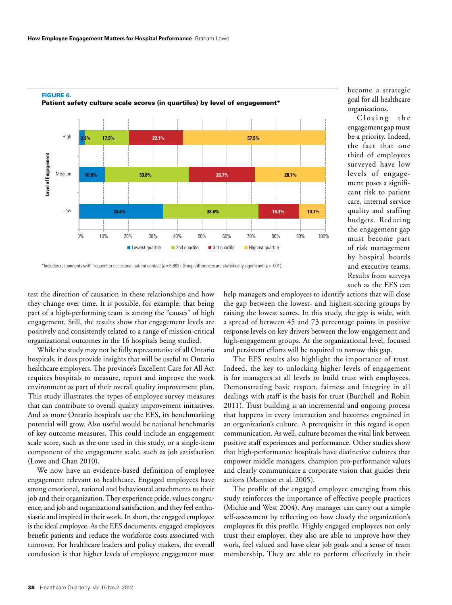FIGURE 6.



### Patient safety culture scale scores (in quartiles) by level of engagement\*

\*Includes respondents with frequent or occasional patient contact (*n* = 6,862). Group differences are statistically significant (*p* < .001).

test the direction of causation in these relationships and how they change over time. It is possible, for example, that being part of a high-performing team is among the "causes" of high engagement. Still, the results show that engagement levels are positively and consistently related to a range of mission-critical organizational outcomes in the 16 hospitals being studied.

While the study may not be fully representative of all Ontario hospitals, it does provide insights that will be useful to Ontario healthcare employers. The province's Excellent Care for All Act requires hospitals to measure, report and improve the work environment as part of their overall quality improvement plan. This study illustrates the types of employee survey measures that can contribute to overall quality improvement initiatives. And as more Ontario hospitals use the EES, its benchmarking potential will grow. Also useful would be national benchmarks of key outcome measures. This could include an engagement scale score, such as the one used in this study, or a single-item component of the engagement scale, such as job satisfaction (Lowe and Chan 2010).

We now have an evidence-based definition of employee engagement relevant to healthcare. Engaged employees have strong emotional, rational and behavioural attachments to their job and their organization. They experience pride, values congruence, and job and organizational satisfaction, and they feel enthusiastic and inspired in their work. In short, the engaged employee is the ideal employee. As the EES documents, engaged employees benefit patients and reduce the workforce costs associated with turnover. For healthcare leaders and policy makers, the overall conclusion is that higher levels of employee engagement must help managers and employees to identify actions that will close the gap between the lowest- and highest-scoring groups by raising the lowest scores. In this study, the gap is wide, with a spread of between 45 and 73 percentage points in positive response levels on key drivers between the low-engagement and high-engagement groups. At the organizational level, focused and persistent efforts will be required to narrow this gap.

The EES results also highlight the importance of trust. Indeed, the key to unlocking higher levels of engagement is for managers at all levels to build trust with employees. Demonstrating basic respect, fairness and integrity in all dealings with staff is the basis for trust (Burchell and Robin 2011). Trust building is an incremental and ongoing process that happens in every interaction and becomes engrained in an organization's culture. A prerequisite in this regard is open communication. As well, culture becomes the vital link between positive staff experiences and performance. Other studies show that high-performance hospitals have distinctive cultures that empower middle managers, champion pro-performance values and clearly communicate a corporate vision that guides their actions (Mannion et al. 2005).

The profile of the engaged employee emerging from this study reinforces the importance of effective people practices (Michie and West 2004). Any manager can carry out a simple self-assessment by reflecting on how closely the organization's employees fit this profile. Highly engaged employees not only trust their employer, they also are able to improve how they work, feel valued and have clear job goals and a sense of team membership. They are able to perform effectively in their

goal for all healthcare organizations. Closing the engagement gap must be a priority. Indeed, the fact that one

become a strategic

third of employees surveyed have low levels of engagement poses a significant risk to patient care, internal service quality and staffing budgets. Reducing the engagement gap must become part of risk management by hospital boards and executive teams. Results from surveys such as the EES can